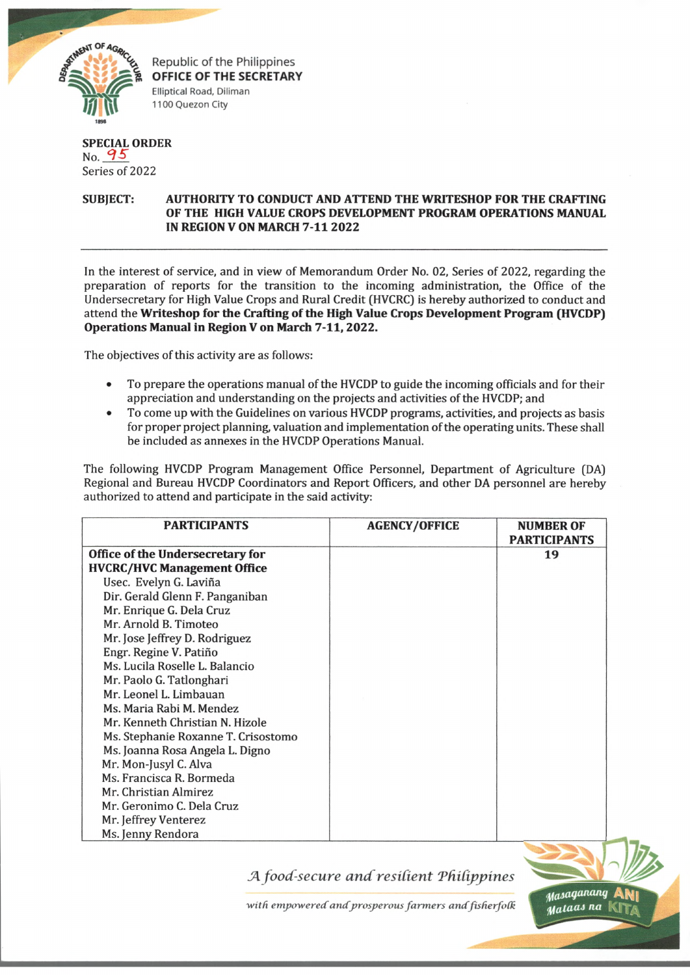

Republic of the Philippines **OFFICE OF THE SECRETARY Elliptical Road, Diliman 1100 Quezon City**

## **SPECIAL ORDER** No. *°1 5* Series of 2022

## **SUBJECT: AUTHORITY TO CONDUCT AND ATTEND THE WRITESHOP FOR THE CRAFTING OF THE HIGH VALUE CROPS DEVELOPMENT PROGRAM OPERATIONS MANUAL IN REGION V ON MARCH 7-11 2022**

In the interest of service, and in view of Memorandum Order No. 02, Series of 2022, regarding the preparation of reports for the transition to the incoming administration, the Office of the Undersecretary for High Value Crops and Rural Credit (HVCRC) is hereby authorized to conduct and attend the **Writeshop for the Crafting of the High Value Crops Development Program (HVCDP) Operations Manual in Region V on March 7-11,2022.**

The objectives of this activity are as follows:

- To prepare the operations manual of the HVCDP to guide the incoming officials and for their appreciation and understanding on the projects and activities of the HVCDP; and
- To come up with the Guidelines on various HVCDP programs, activities, and projects as basis for proper project planning, valuation and implementation of the operating units. These shall be included as annexes in the HVCDP Operations Manual.

The following HVCDP Program Management Office Personnel, Department of Agriculture (DA) Regional and Bureau HVCDP Coordinators and Report Officers, and other DA personnel are hereby authorized to attend and participate in the said activity:

| <b>PARTICIPANTS</b>                 | <b>AGENCY/OFFICE</b> | <b>NUMBER OF</b><br><b>PARTICIPANTS</b> |
|-------------------------------------|----------------------|-----------------------------------------|
| Office of the Undersecretary for    |                      | 19                                      |
| <b>HVCRC/HVC Management Office</b>  |                      |                                         |
| Usec. Evelyn G. Laviña              |                      |                                         |
| Dir. Gerald Glenn F. Panganiban     |                      |                                         |
| Mr. Enrique G. Dela Cruz            |                      |                                         |
| Mr. Arnold B. Timoteo               |                      |                                         |
| Mr. Jose Jeffrey D. Rodriguez       |                      |                                         |
| Engr. Regine V. Patiño              |                      |                                         |
| Ms. Lucila Roselle L. Balancio      |                      |                                         |
| Mr. Paolo G. Tatlonghari            |                      |                                         |
| Mr. Leonel L. Limbauan              |                      |                                         |
| Ms. Maria Rabi M. Mendez            |                      |                                         |
| Mr. Kenneth Christian N. Hizole     |                      |                                         |
| Ms. Stephanie Roxanne T. Crisostomo |                      |                                         |
| Ms. Joanna Rosa Angela L. Digno     |                      |                                         |
| Mr. Mon-Jusyl C. Alva               |                      |                                         |
| Ms. Francisca R. Bormeda            |                      |                                         |
| Mr. Christian Almirez               |                      |                                         |
| Mr. Geronimo C. Dela Cruz           |                      |                                         |
| Mr. Jeffrey Venterez                |                      |                                         |
| Ms. Jenny Rendora                   |                      |                                         |

*JK food-secure and resident Ttiidppines*

with empowered and prosperous farmers and fisherfolk